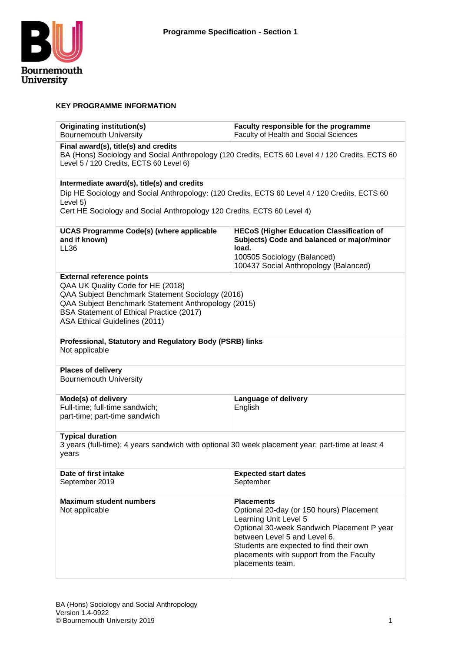

#### **KEY PROGRAMME INFORMATION**

| Originating institution(s)<br><b>Bournemouth University</b>                                                                                                                                                                                                   | Faculty responsible for the programme<br>Faculty of Health and Social Sciences                                                                                                                                                                                                  |  |  |  |  |
|---------------------------------------------------------------------------------------------------------------------------------------------------------------------------------------------------------------------------------------------------------------|---------------------------------------------------------------------------------------------------------------------------------------------------------------------------------------------------------------------------------------------------------------------------------|--|--|--|--|
| Final award(s), title(s) and credits<br>BA (Hons) Sociology and Social Anthropology (120 Credits, ECTS 60 Level 4 / 120 Credits, ECTS 60<br>Level 5 / 120 Credits, ECTS 60 Level 6)                                                                           |                                                                                                                                                                                                                                                                                 |  |  |  |  |
| Intermediate award(s), title(s) and credits<br>Dip HE Sociology and Social Anthropology: (120 Credits, ECTS 60 Level 4 / 120 Credits, ECTS 60<br>Level 5)<br>Cert HE Sociology and Social Anthropology 120 Credits, ECTS 60 Level 4)                          |                                                                                                                                                                                                                                                                                 |  |  |  |  |
| <b>UCAS Programme Code(s) (where applicable</b><br>and if known)<br><b>LL36</b>                                                                                                                                                                               | <b>HECoS (Higher Education Classification of</b><br>Subjects) Code and balanced or major/minor<br>load.<br>100505 Sociology (Balanced)<br>100437 Social Anthropology (Balanced)                                                                                                 |  |  |  |  |
| <b>External reference points</b><br>QAA UK Quality Code for HE (2018)<br>QAA Subject Benchmark Statement Sociology (2016)<br>QAA Subject Benchmark Statement Anthropology (2015)<br>BSA Statement of Ethical Practice (2017)<br>ASA Ethical Guidelines (2011) |                                                                                                                                                                                                                                                                                 |  |  |  |  |
| Professional, Statutory and Regulatory Body (PSRB) links<br>Not applicable                                                                                                                                                                                    |                                                                                                                                                                                                                                                                                 |  |  |  |  |
| <b>Places of delivery</b><br><b>Bournemouth University</b>                                                                                                                                                                                                    |                                                                                                                                                                                                                                                                                 |  |  |  |  |
| Mode(s) of delivery<br>Language of delivery<br>Full-time; full-time sandwich;<br>English<br>part-time; part-time sandwich                                                                                                                                     |                                                                                                                                                                                                                                                                                 |  |  |  |  |
| <b>Typical duration</b><br>3 years (full-time); 4 years sandwich with optional 30 week placement year; part-time at least 4<br>years                                                                                                                          |                                                                                                                                                                                                                                                                                 |  |  |  |  |
| Date of first intake<br>September 2019                                                                                                                                                                                                                        | <b>Expected start dates</b><br>September                                                                                                                                                                                                                                        |  |  |  |  |
| <b>Maximum student numbers</b><br>Not applicable                                                                                                                                                                                                              | <b>Placements</b><br>Optional 20-day (or 150 hours) Placement<br>Learning Unit Level 5<br>Optional 30-week Sandwich Placement P year<br>between Level 5 and Level 6.<br>Students are expected to find their own<br>placements with support from the Faculty<br>placements team. |  |  |  |  |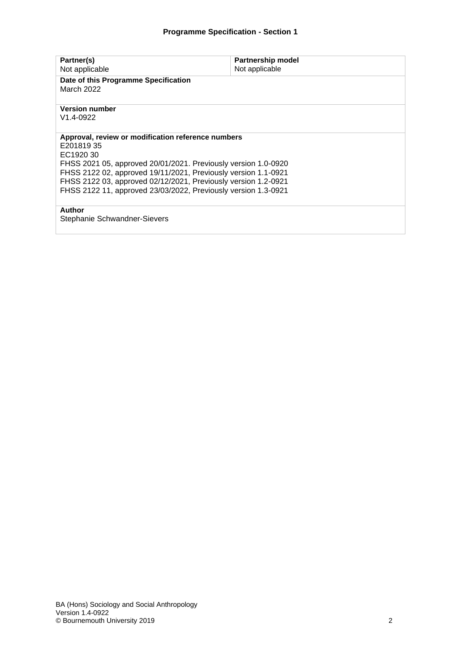| Partner(s)<br>Not applicable                                                                                                                                                                                                                                                                                                                         | <b>Partnership model</b><br>Not applicable |  |  |  |
|------------------------------------------------------------------------------------------------------------------------------------------------------------------------------------------------------------------------------------------------------------------------------------------------------------------------------------------------------|--------------------------------------------|--|--|--|
| Date of this Programme Specification<br>March 2022                                                                                                                                                                                                                                                                                                   |                                            |  |  |  |
| <b>Version number</b><br>V <sub>1.4</sub> -0922                                                                                                                                                                                                                                                                                                      |                                            |  |  |  |
| Approval, review or modification reference numbers<br>E20181935<br>EC1920 30<br>FHSS 2021 05, approved 20/01/2021. Previously version 1.0-0920<br>FHSS 2122 02, approved 19/11/2021, Previously version 1.1-0921<br>FHSS 2122 03, approved 02/12/2021, Previously version 1.2-0921<br>FHSS 2122 11, approved 23/03/2022, Previously version 1.3-0921 |                                            |  |  |  |
| Author<br>Stephanie Schwandner-Sievers                                                                                                                                                                                                                                                                                                               |                                            |  |  |  |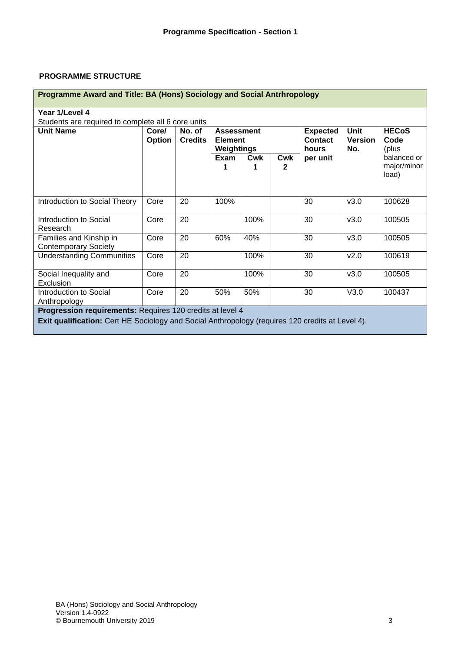#### **PROGRAMME STRUCTURE**

| Programme Award and Title: BA (Hons) Sociology and Social Antrhropology                                                                                       |                 |                                                                               |      |      |                                     |                                      |                               |                                     |
|---------------------------------------------------------------------------------------------------------------------------------------------------------------|-----------------|-------------------------------------------------------------------------------|------|------|-------------------------------------|--------------------------------------|-------------------------------|-------------------------------------|
| Year 1/Level 4                                                                                                                                                |                 |                                                                               |      |      |                                     |                                      |                               |                                     |
| Students are required to complete all 6 core units<br><b>Unit Name</b>                                                                                        | Core/<br>Option | No. of<br><b>Assessment</b><br><b>Credits</b><br><b>Element</b><br>Weightings |      |      | <b>Expected</b><br>Contact<br>hours | <b>Unit</b><br><b>Version</b><br>No. | <b>HECoS</b><br>Code<br>(plus |                                     |
|                                                                                                                                                               |                 |                                                                               | Exam | Cwk  | Cwk<br>$\mathbf{2}$                 | per unit                             |                               | balanced or<br>major/minor<br>load) |
| Introduction to Social Theory                                                                                                                                 | Core            | 20                                                                            | 100% |      |                                     | 30                                   | v3.0                          | 100628                              |
| Introduction to Social<br>Research                                                                                                                            | Core            | 20                                                                            |      | 100% |                                     | 30                                   | v3.0                          | 100505                              |
| Families and Kinship in<br><b>Contemporary Society</b>                                                                                                        | Core            | 20                                                                            | 60%  | 40%  |                                     | 30                                   | v3.0                          | 100505                              |
| <b>Understanding Communities</b>                                                                                                                              | Core            | 20                                                                            |      | 100% |                                     | 30                                   | v2.0                          | 100619                              |
| Social Inequality and<br>Exclusion                                                                                                                            | Core            | 20                                                                            |      | 100% |                                     | 30                                   | v3.0                          | 100505                              |
| Introduction to Social<br>Anthropology                                                                                                                        | Core            | 20                                                                            | 50%  | 50%  |                                     | 30                                   | V3.0                          | 100437                              |
| Progression requirements: Requires 120 credits at level 4<br>Exit qualification: Cert HE Sociology and Social Anthropology (requires 120 credits at Level 4). |                 |                                                                               |      |      |                                     |                                      |                               |                                     |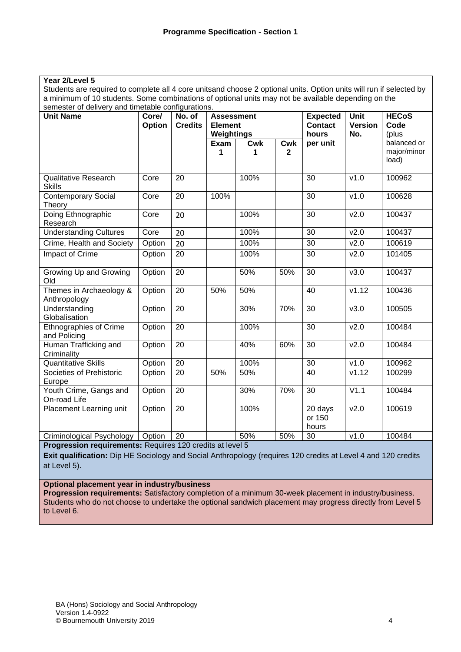| Year 2/Level 5                    |
|-----------------------------------|
| Students are required to complete |

all 4 core unitsand choose 2 optional units. Option units will run if selected by a minimum of 10 students. Some combinations of optional units may not be available depending on the semester of delivery and timetable configurations.

| <b>Unit Name</b>                              | Core/<br>Option | $\overline{N}$ o. of<br><b>Credits</b> | <b>Assessment</b><br><b>Element</b> |                 |                            | <b>Expected</b><br><b>Contact</b> | <b>Unit</b><br><b>Version</b> | <b>HECoS</b><br>Code                         |
|-----------------------------------------------|-----------------|----------------------------------------|-------------------------------------|-----------------|----------------------------|-----------------------------------|-------------------------------|----------------------------------------------|
|                                               |                 |                                        | Weightings<br>Exam<br>1             | <b>Cwk</b><br>1 | <b>Cwk</b><br>$\mathbf{2}$ | hours<br>per unit                 | No.                           | (plus<br>balanced or<br>major/minor<br>load) |
| <b>Qualitative Research</b><br><b>Skills</b>  | Core            | 20                                     |                                     | 100%            |                            | 30                                | v1.0                          | 100962                                       |
| <b>Contemporary Social</b><br>Theory          | Core            | 20                                     | 100%                                |                 |                            | 30                                | v1.0                          | 100628                                       |
| Doing Ethnographic<br>Research                | Core            | 20                                     |                                     | 100%            |                            | 30                                | v2.0                          | 100437                                       |
| <b>Understanding Cultures</b>                 | Core            | 20                                     |                                     | 100%            |                            | 30                                | v2.0                          | 100437                                       |
| Crime, Health and Society                     | Option          | 20                                     |                                     | 100%            |                            | $\overline{30}$                   | v2.0                          | 100619                                       |
| <b>Impact of Crime</b>                        | Option          | $\overline{20}$                        |                                     | 100%            |                            | 30                                | v2.0                          | 101405                                       |
| Growing Up and Growing<br>Old                 | Option          | 20                                     |                                     | 50%             | 50%                        | 30                                | v3.0                          | 100437                                       |
| Themes in Archaeology &<br>Anthropology       | Option          | $\overline{20}$                        | 50%                                 | 50%             |                            | 40                                | V1.12                         | 100436                                       |
| Understanding<br>Globalisation                | Option          | $\overline{20}$                        |                                     | 30%             | 70%                        | 30                                | v3.0                          | 100505                                       |
| <b>Ethnographies of Crime</b><br>and Policing | Option          | 20                                     |                                     | 100%            |                            | 30                                | v2.0                          | 100484                                       |
| Human Trafficking and<br>Criminality          | Option          | 20                                     |                                     | 40%             | 60%                        | 30                                | v2.0                          | 100484                                       |
| <b>Quantitative Skills</b>                    | Option          | 20                                     |                                     | 100%            |                            | 30                                | v1.0                          | 100962                                       |
| Societies of Prehistoric<br>Europe            | Option          | 20                                     | 50%                                 | 50%             |                            | 40                                | V1.12                         | 100299                                       |
| Youth Crime, Gangs and<br>On-road Life        | Option          | 20                                     |                                     | 30%             | 70%                        | 30                                | V1.1                          | 100484                                       |
| Placement Learning unit                       | Option          | 20                                     |                                     | 100%            |                            | 20 days<br>or 150<br>hours        | v2.0                          | 100619                                       |
| Criminological Psychology                     | Option          | 20                                     |                                     | 50%             | 50%                        | 30                                | v1.0                          | 100484                                       |

**Progression requirements:** Requires 120 credits at level 5

**Exit qualification:** Dip HE Sociology and Social Anthropology (requires 120 credits at Level 4 and 120 credits at Level 5).

**Optional placement year in industry/business**

**Progression requirements:** Satisfactory completion of a minimum 30-week placement in industry/business. Students who do not choose to undertake the optional sandwich placement may progress directly from Level 5 to Level 6.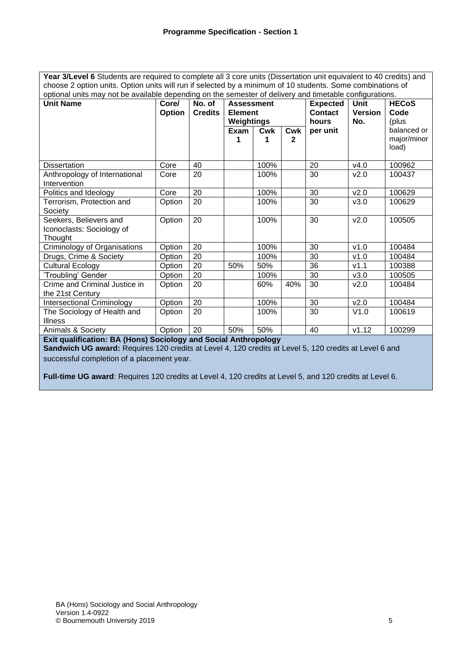Year 3/Level 6 Students are required to complete all 3 core units (Dissertation unit equivalent to 40 credits) and choose 2 option units. Option units will run if selected by a minimum of 10 students. Some combinations of optional units may not be available depending on the semester of delivery and timetable configurations.

| ophonar anno may not be available aepenanty on the semester or achivery and timetable comgarations. |               |                |                   |                |              |                 |                |              |
|-----------------------------------------------------------------------------------------------------|---------------|----------------|-------------------|----------------|--------------|-----------------|----------------|--------------|
| <b>Unit Name</b>                                                                                    | Core/         | No. of         | <b>Assessment</b> |                |              | <b>Expected</b> | <b>Unit</b>    | <b>HECoS</b> |
|                                                                                                     | <b>Option</b> | <b>Credits</b> |                   | <b>Element</b> |              | <b>Contact</b>  | <b>Version</b> | Code         |
|                                                                                                     |               |                | Weightings        |                |              | hours           | No.            | (plus        |
|                                                                                                     |               |                | Exam              | Cwk            | Cwk          | per unit        |                | balanced or  |
|                                                                                                     |               |                |                   |                | $\mathbf{2}$ |                 |                | major/minor  |
|                                                                                                     |               |                |                   |                |              |                 |                | load)        |
|                                                                                                     |               |                |                   |                |              |                 |                |              |
| <b>Dissertation</b>                                                                                 | Core          | 40             |                   | 100%           |              | 20              | v4.0           | 100962       |
| Anthropology of International                                                                       | Core          | 20             |                   | 100%           |              | 30              | v2.0           | 100437       |
| Intervention                                                                                        |               |                |                   |                |              |                 |                |              |
| Politics and Ideology                                                                               | Core          | 20             |                   | 100%           |              | 30              | v2.0           | 100629       |
| Terrorism, Protection and                                                                           | Option        | 20             |                   | 100%           |              | 30              | v3.0           | 100629       |
| Society                                                                                             |               |                |                   |                |              |                 |                |              |
| Seekers, Believers and                                                                              | Option        | 20             |                   | 100%           |              | 30              | v2.0           | 100505       |
| Iconoclasts: Sociology of                                                                           |               |                |                   |                |              |                 |                |              |
| Thought                                                                                             |               |                |                   |                |              |                 |                |              |
| Criminology of Organisations                                                                        | Option        | 20             |                   | 100%           |              | 30              | v1.0           | 100484       |
| Drugs, Crime & Society                                                                              | Option        | 20             |                   | 100%           |              | 30              | v1.0           | 100484       |
| <b>Cultural Ecology</b>                                                                             | Option        | 20             | 50%               | 50%            |              | 36              | V1.1           | 100388       |
| 'Troubling' Gender                                                                                  | Option        | 20             |                   | 100%           |              | 30              | v3.0           | 100505       |
| Crime and Criminal Justice in                                                                       | Option        | 20             |                   | 60%            | 40%          | 30              | v2.0           | 100484       |
| the 21st Century                                                                                    |               |                |                   |                |              |                 |                |              |
| <b>Intersectional Criminology</b>                                                                   | Option        | 20             |                   | 100%           |              | 30              | v2.0           | 100484       |
| The Sociology of Health and                                                                         | Option        | 20             |                   | 100%           |              | 30              | V1.0           | 100619       |
| <b>Illness</b>                                                                                      |               |                |                   |                |              |                 |                |              |
| Animals & Society                                                                                   | Option        | 20             | 50%               | 50%            |              | 40              | v1.12          | 100299       |
| Evit qualification: BA (Hena) Coolelagu and Coolel Anthropologue                                    |               |                |                   |                |              |                 |                |              |

**Exit qualification: BA (Hons) Sociology and Social Anthropology**

**Sandwich UG award:** Requires 120 credits at Level 4, 120 credits at Level 5, 120 credits at Level 6 and successful completion of a placement year.

**Full-time UG award**: Requires 120 credits at Level 4, 120 credits at Level 5, and 120 credits at Level 6.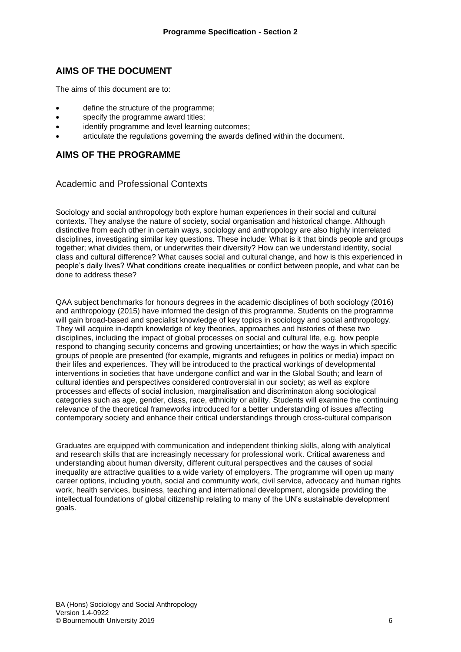## **AIMS OF THE DOCUMENT**

The aims of this document are to:

- define the structure of the programme;
- specify the programme award titles:
- identify programme and level learning outcomes;
- articulate the regulations governing the awards defined within the document.

## **AIMS OF THE PROGRAMME**

#### Academic and Professional Contexts

Sociology and social anthropology both explore human experiences in their social and cultural contexts. They analyse the nature of society, social organisation and historical change. Although distinctive from each other in certain ways, sociology and anthropology are also highly interrelated disciplines, investigating similar key questions. These include: What is it that binds people and groups together; what divides them, or underwrites their diversity? How can we understand identity, social class and cultural difference? What causes social and cultural change, and how is this experienced in people's daily lives? What conditions create inequalities or conflict between people, and what can be done to address these?

QAA subject benchmarks for honours degrees in the academic disciplines of both sociology (2016) and anthropology (2015) have informed the design of this programme. Students on the programme will gain broad-based and specialist knowledge of key topics in sociology and social anthropology. They will acquire in-depth knowledge of key theories, approaches and histories of these two disciplines, including the impact of global processes on social and cultural life, e.g. how people respond to changing security concerns and growing uncertainties; or how the ways in which specific groups of people are presented (for example, migrants and refugees in politics or media) impact on their lifes and experiences. They will be introduced to the practical workings of developmental interventions in societies that have undergone conflict and war in the Global South; and learn of cultural identies and perspectives considered controversial in our society; as well as explore processes and effects of social inclusion, marginalisation and discriminaton along sociological categories such as age, gender, class, race, ethnicity or ability. Students will examine the continuing relevance of the theoretical frameworks introduced for a better understanding of issues affecting contemporary society and enhance their critical understandings through cross-cultural comparison

Graduates are equipped with communication and independent thinking skills, along with analytical and research skills that are increasingly necessary for professional work. Critical awareness and understanding about human diversity, different cultural perspectives and the causes of social inequality are attractive qualities to a wide variety of employers. The programme will open up many career options, including youth, social and community work, civil service, advocacy and human rights work, health services, business, teaching and international development, alongside providing the intellectual foundations of global citizenship relating to many of the UN's sustainable development goals.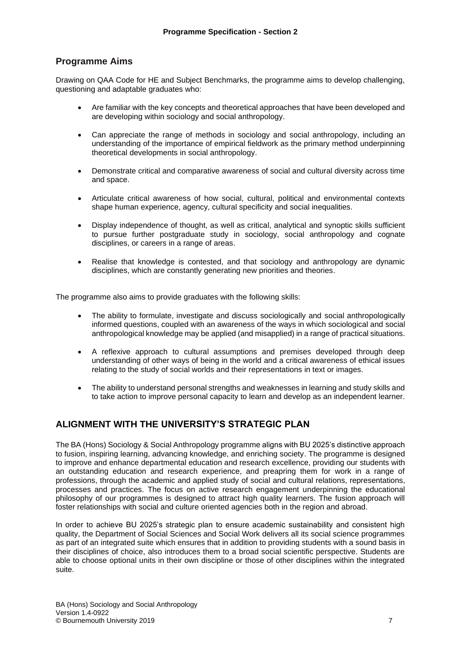#### **Programme Aims**

Drawing on QAA Code for HE and Subject Benchmarks, the programme aims to develop challenging, questioning and adaptable graduates who:

- Are familiar with the key concepts and theoretical approaches that have been developed and are developing within sociology and social anthropology.
- Can appreciate the range of methods in sociology and social anthropology, including an understanding of the importance of empirical fieldwork as the primary method underpinning theoretical developments in social anthropology.
- Demonstrate critical and comparative awareness of social and cultural diversity across time and space.
- Articulate critical awareness of how social, cultural, political and environmental contexts shape human experience, agency, cultural specificity and social inequalities.
- Display independence of thought, as well as critical, analytical and synoptic skills sufficient to pursue further postgraduate study in sociology, social anthropology and cognate disciplines, or careers in a range of areas.
- Realise that knowledge is contested, and that sociology and anthropology are dynamic disciplines, which are constantly generating new priorities and theories.

The programme also aims to provide graduates with the following skills:

- The ability to formulate, investigate and discuss sociologically and social anthropologically informed questions, coupled with an awareness of the ways in which sociological and social anthropological knowledge may be applied (and misapplied) in a range of practical situations.
- A reflexive approach to cultural assumptions and premises developed through deep understanding of other ways of being in the world and a critical awareness of ethical issues relating to the study of social worlds and their representations in text or images.
- The ability to understand personal strengths and weaknesses in learning and study skills and to take action to improve personal capacity to learn and develop as an independent learner.

## **ALIGNMENT WITH THE UNIVERSITY'S STRATEGIC PLAN**

The BA (Hons) Sociology & Social Anthropology programme aligns with BU 2025's distinctive approach to fusion, inspiring learning, advancing knowledge, and enriching society. The programme is designed to improve and enhance departmental education and research excellence, providing our students with an outstanding education and research experience, and preapring them for work in a range of professions, through the academic and applied study of social and cultural relations, representations, processes and practices. The focus on active research engagement underpinning the educational philosophy of our programmes is designed to attract high quality learners. The fusion approach will foster relationships with social and culture oriented agencies both in the region and abroad.

In order to achieve BU 2025's strategic plan to ensure academic sustainability and consistent high quality, the Department of Social Sciences and Social Work delivers all its social science programmes as part of an integrated suite which ensures that in addition to providing students with a sound basis in their disciplines of choice, also introduces them to a broad social scientific perspective. Students are able to choose optional units in their own discipline or those of other disciplines within the integrated suite.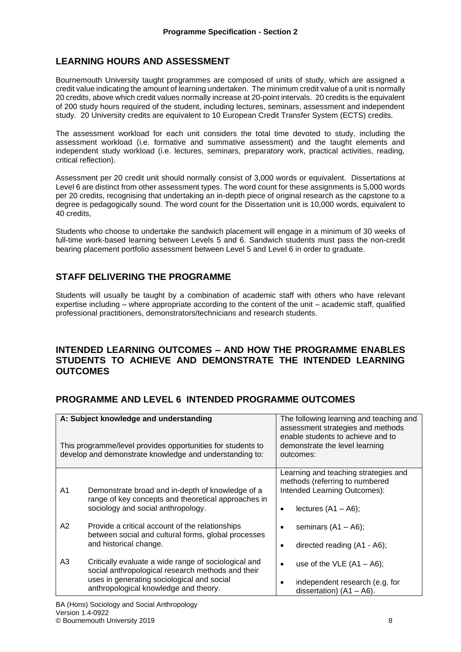## **LEARNING HOURS AND ASSESSMENT**

Bournemouth University taught programmes are composed of units of study, which are assigned a credit value indicating the amount of learning undertaken. The minimum credit value of a unit is normally 20 credits, above which credit values normally increase at 20-point intervals. 20 credits is the equivalent of 200 study hours required of the student, including lectures, seminars, assessment and independent study. 20 University credits are equivalent to 10 European Credit Transfer System (ECTS) credits.

The assessment workload for each unit considers the total time devoted to study, including the assessment workload (i.e. formative and summative assessment) and the taught elements and independent study workload (i.e. lectures, seminars, preparatory work, practical activities, reading, critical reflection).

Assessment per 20 credit unit should normally consist of 3,000 words or equivalent. Dissertations at Level 6 are distinct from other assessment types. The word count for these assignments is 5,000 words per 20 credits, recognising that undertaking an in-depth piece of original research as the capstone to a degree is pedagogically sound. The word count for the Dissertation unit is 10,000 words, equivalent to 40 credits,

Students who choose to undertake the sandwich placement will engage in a minimum of 30 weeks of full-time work-based learning between Levels 5 and 6. Sandwich students must pass the non-credit bearing placement portfolio assessment between Level 5 and Level 6 in order to graduate.

## **STAFF DELIVERING THE PROGRAMME**

Students will usually be taught by a combination of academic staff with others who have relevant expertise including – where appropriate according to the content of the unit – academic staff, qualified professional practitioners, demonstrators/technicians and research students.

## **INTENDED LEARNING OUTCOMES – AND HOW THE PROGRAMME ENABLES STUDENTS TO ACHIEVE AND DEMONSTRATE THE INTENDED LEARNING OUTCOMES**

# **PROGRAMME AND LEVEL 6 INTENDED PROGRAMME OUTCOMES**

|    | A: Subject knowledge and understanding<br>This programme/level provides opportunities for students to<br>develop and demonstrate knowledge and understanding to:                                 | The following learning and teaching and<br>assessment strategies and methods<br>enable students to achieve and to<br>demonstrate the level learning<br>outcomes: |
|----|--------------------------------------------------------------------------------------------------------------------------------------------------------------------------------------------------|------------------------------------------------------------------------------------------------------------------------------------------------------------------|
| A1 | Demonstrate broad and in-depth of knowledge of a<br>range of key concepts and theoretical approaches in<br>sociology and social anthropology.                                                    | Learning and teaching strategies and<br>methods (referring to numbered<br>Intended Learning Outcomes):<br>lectures $(A1 - A6)$ ;                                 |
| A2 | Provide a critical account of the relationships<br>between social and cultural forms, global processes<br>and historical change.                                                                 | seminars $(A1 - A6)$ ;<br>directed reading (A1 - A6);                                                                                                            |
| A3 | Critically evaluate a wide range of sociological and<br>social anthropological research methods and their<br>uses in generating sociological and social<br>anthropological knowledge and theory. | use of the VLE $(A1 - A6)$ ;<br>٠<br>independent research (e.g. for<br>dissertation) $(A1 - A6)$ .                                                               |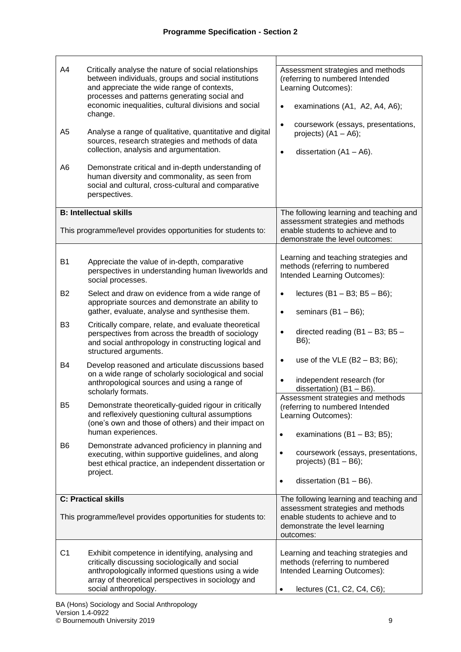| A4<br>A5<br>A <sub>6</sub> | Critically analyse the nature of social relationships<br>between individuals, groups and social institutions<br>and appreciate the wide range of contexts,<br>processes and patterns generating social and<br>economic inequalities, cultural divisions and social<br>change.<br>Analyse a range of qualitative, quantitative and digital<br>sources, research strategies and methods of data<br>collection, analysis and argumentation.<br>Demonstrate critical and in-depth understanding of<br>human diversity and commonality, as seen from<br>social and cultural, cross-cultural and comparative<br>perspectives. | Assessment strategies and methods<br>(referring to numbered Intended<br>Learning Outcomes):<br>examinations (A1, A2, A4, A6);<br>$\bullet$<br>coursework (essays, presentations,<br>$\bullet$<br>projects) $(A1 - A6)$ ;<br>dissertation $(A1 - A6)$ .<br>$\bullet$ |
|----------------------------|-------------------------------------------------------------------------------------------------------------------------------------------------------------------------------------------------------------------------------------------------------------------------------------------------------------------------------------------------------------------------------------------------------------------------------------------------------------------------------------------------------------------------------------------------------------------------------------------------------------------------|---------------------------------------------------------------------------------------------------------------------------------------------------------------------------------------------------------------------------------------------------------------------|
|                            | <b>B: Intellectual skills</b>                                                                                                                                                                                                                                                                                                                                                                                                                                                                                                                                                                                           | The following learning and teaching and                                                                                                                                                                                                                             |
|                            | This programme/level provides opportunities for students to:                                                                                                                                                                                                                                                                                                                                                                                                                                                                                                                                                            | assessment strategies and methods<br>enable students to achieve and to<br>demonstrate the level outcomes:                                                                                                                                                           |
| <b>B1</b>                  | Appreciate the value of in-depth, comparative<br>perspectives in understanding human liveworlds and<br>social processes.                                                                                                                                                                                                                                                                                                                                                                                                                                                                                                | Learning and teaching strategies and<br>methods (referring to numbered<br>Intended Learning Outcomes):                                                                                                                                                              |
| B <sub>2</sub>             | Select and draw on evidence from a wide range of<br>appropriate sources and demonstrate an ability to<br>gather, evaluate, analyse and synthesise them.                                                                                                                                                                                                                                                                                                                                                                                                                                                                 | lectures $(B1 - B3; B5 - B6)$ ;<br>$\bullet$<br>seminars $(B1 - B6)$ ;<br>$\bullet$                                                                                                                                                                                 |
| B <sub>3</sub>             | Critically compare, relate, and evaluate theoretical<br>perspectives from across the breadth of sociology<br>and social anthropology in constructing logical and<br>structured arguments.                                                                                                                                                                                                                                                                                                                                                                                                                               | directed reading (B1 - B3; B5 -<br>$\bullet$<br>B6);                                                                                                                                                                                                                |
| B4                         | Develop reasoned and articulate discussions based<br>on a wide range of scholarly sociological and social<br>anthropological sources and using a range of<br>scholarly formats.                                                                                                                                                                                                                                                                                                                                                                                                                                         | use of the VLE $(B2 - B3; B6)$ ;<br>$\bullet$<br>independent research (for<br>$\bullet$<br>dissertation) $(B1 - B6)$ .                                                                                                                                              |
| B5                         | Demonstrate theoretically-guided rigour in critically<br>and reflexively questioning cultural assumptions<br>(one's own and those of others) and their impact on<br>human experiences.                                                                                                                                                                                                                                                                                                                                                                                                                                  | Assessment strategies and methods<br>(referring to numbered Intended<br>Learning Outcomes):<br>examinations $(B1 - B3; B5);$<br>$\bullet$                                                                                                                           |
| B6                         | Demonstrate advanced proficiency in planning and<br>executing, within supportive guidelines, and along<br>best ethical practice, an independent dissertation or<br>project.                                                                                                                                                                                                                                                                                                                                                                                                                                             | coursework (essays, presentations,<br>$\bullet$<br>projects) $(B1 - B6)$ ;<br>dissertation $(B1 - B6)$ .<br>$\bullet$                                                                                                                                               |
|                            | <b>C: Practical skills</b>                                                                                                                                                                                                                                                                                                                                                                                                                                                                                                                                                                                              | The following learning and teaching and                                                                                                                                                                                                                             |
|                            | This programme/level provides opportunities for students to:                                                                                                                                                                                                                                                                                                                                                                                                                                                                                                                                                            | assessment strategies and methods<br>enable students to achieve and to<br>demonstrate the level learning<br>outcomes:                                                                                                                                               |
| C <sub>1</sub>             | Exhibit competence in identifying, analysing and<br>critically discussing sociologically and social<br>anthropologically informed questions using a wide<br>array of theoretical perspectives in sociology and<br>social anthropology.                                                                                                                                                                                                                                                                                                                                                                                  | Learning and teaching strategies and<br>methods (referring to numbered<br>Intended Learning Outcomes):<br>lectures (C1, C2, C4, C6);<br>$\bullet$                                                                                                                   |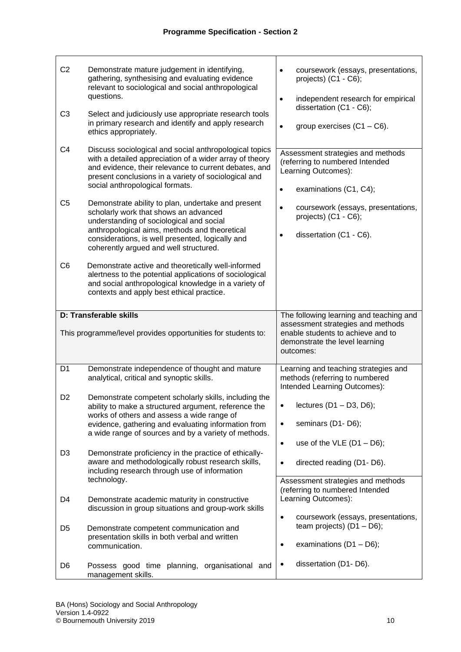| C <sub>2</sub><br>C <sub>3</sub><br>C4 | Demonstrate mature judgement in identifying,<br>gathering, synthesising and evaluating evidence<br>relevant to sociological and social anthropological<br>questions.<br>Select and judiciously use appropriate research tools<br>in primary research and identify and apply research<br>ethics appropriately.<br>Discuss sociological and social anthropological topics | coursework (essays, presentations,<br>$\bullet$<br>projects) (C1 - C6);<br>independent research for empirical<br>$\bullet$<br>dissertation (C1 - C6);<br>group exercises $(C1 - C6)$ .<br>$\bullet$<br>Assessment strategies and methods |
|----------------------------------------|-------------------------------------------------------------------------------------------------------------------------------------------------------------------------------------------------------------------------------------------------------------------------------------------------------------------------------------------------------------------------|------------------------------------------------------------------------------------------------------------------------------------------------------------------------------------------------------------------------------------------|
|                                        | with a detailed appreciation of a wider array of theory<br>and evidence, their relevance to current debates, and<br>present conclusions in a variety of sociological and<br>social anthropological formats.                                                                                                                                                             | (referring to numbered Intended<br>Learning Outcomes):<br>examinations (C1, C4);<br>$\bullet$                                                                                                                                            |
| C <sub>5</sub>                         | Demonstrate ability to plan, undertake and present<br>scholarly work that shows an advanced<br>understanding of sociological and social<br>anthropological aims, methods and theoretical<br>considerations, is well presented, logically and<br>coherently argued and well structured.                                                                                  | coursework (essays, presentations,<br>$\bullet$<br>projects) $(C1 - C6)$ ;<br>dissertation (C1 - C6).                                                                                                                                    |
| C6                                     | Demonstrate active and theoretically well-informed<br>alertness to the potential applications of sociological<br>and social anthropological knowledge in a variety of<br>contexts and apply best ethical practice.                                                                                                                                                      |                                                                                                                                                                                                                                          |
|                                        | D: Transferable skills                                                                                                                                                                                                                                                                                                                                                  | The following learning and teaching and                                                                                                                                                                                                  |
|                                        | This programme/level provides opportunities for students to:                                                                                                                                                                                                                                                                                                            | assessment strategies and methods<br>enable students to achieve and to<br>demonstrate the level learning<br>outcomes:                                                                                                                    |
| D <sub>1</sub>                         | Demonstrate independence of thought and mature<br>analytical, critical and synoptic skills.                                                                                                                                                                                                                                                                             | Learning and teaching strategies and<br>methods (referring to numbered<br>Intended Learning Outcomes):                                                                                                                                   |
| D <sub>2</sub>                         | Demonstrate competent scholarly skills, including the<br>ability to make a structured argument, reference the<br>works of others and assess a wide range of<br>evidence, gathering and evaluating information from<br>a wide range of sources and by a variety of methods.                                                                                              | lectures $(D1 - D3, D6)$ ;<br>seminars (D1-D6);<br>$\bullet$                                                                                                                                                                             |
|                                        |                                                                                                                                                                                                                                                                                                                                                                         |                                                                                                                                                                                                                                          |
|                                        |                                                                                                                                                                                                                                                                                                                                                                         | use of the VLE $(D1 - D6)$ ;<br>$\bullet$                                                                                                                                                                                                |
| D <sub>3</sub>                         | Demonstrate proficiency in the practice of ethically-<br>aware and methodologically robust research skills,<br>including research through use of information                                                                                                                                                                                                            | directed reading (D1-D6).<br>$\bullet$                                                                                                                                                                                                   |
| D <sub>4</sub>                         | technology.<br>Demonstrate academic maturity in constructive                                                                                                                                                                                                                                                                                                            | Assessment strategies and methods<br>(referring to numbered Intended<br>Learning Outcomes):                                                                                                                                              |
| D <sub>5</sub>                         | discussion in group situations and group-work skills<br>Demonstrate competent communication and                                                                                                                                                                                                                                                                         | coursework (essays, presentations,<br>$\bullet$<br>team projects) $(D1 - D6)$ ;                                                                                                                                                          |
|                                        | presentation skills in both verbal and written<br>communication.                                                                                                                                                                                                                                                                                                        | examinations $(D1 - D6)$ ;<br>$\bullet$                                                                                                                                                                                                  |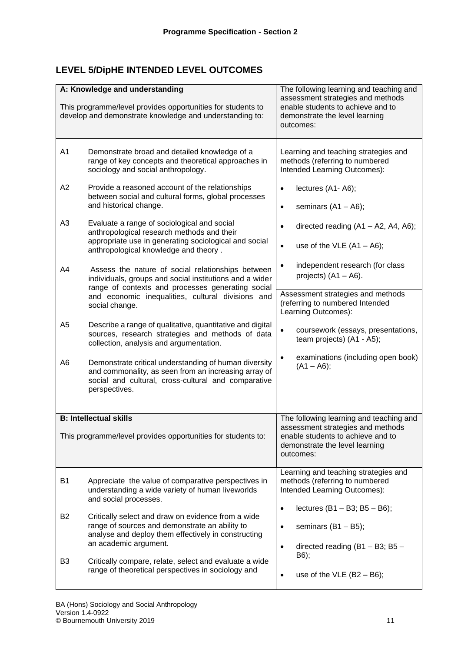# **LEVEL 5/DipHE INTENDED LEVEL OUTCOMES**

|                                                              | A: Knowledge and understanding<br>This programme/level provides opportunities for students to<br>develop and demonstrate knowledge and understanding to:                                                                                 | The following learning and teaching and<br>assessment strategies and methods<br>enable students to achieve and to<br>demonstrate the level learning<br>outcomes: |
|--------------------------------------------------------------|------------------------------------------------------------------------------------------------------------------------------------------------------------------------------------------------------------------------------------------|------------------------------------------------------------------------------------------------------------------------------------------------------------------|
| A1                                                           | Demonstrate broad and detailed knowledge of a<br>range of key concepts and theoretical approaches in<br>sociology and social anthropology.                                                                                               | Learning and teaching strategies and<br>methods (referring to numbered<br>Intended Learning Outcomes):                                                           |
| A <sub>2</sub>                                               | Provide a reasoned account of the relationships<br>between social and cultural forms, global processes<br>and historical change.                                                                                                         | lectures (A1-A6);<br>$\bullet$<br>seminars $(A1 - A6)$ ;<br>$\bullet$                                                                                            |
| A <sub>3</sub>                                               | Evaluate a range of sociological and social<br>anthropological research methods and their<br>appropriate use in generating sociological and social<br>anthropological knowledge and theory.                                              | directed reading $(A1 - A2, A4, A6)$ ;<br>$\bullet$<br>use of the VLE $(A1 - A6)$ ;<br>$\bullet$<br>independent research (for class                              |
| A4                                                           | Assess the nature of social relationships between<br>individuals, groups and social institutions and a wider<br>range of contexts and processes generating social<br>and economic inequalities, cultural divisions and<br>social change. | projects) $(A1 - A6)$ .<br>Assessment strategies and methods<br>(referring to numbered Intended<br>Learning Outcomes):                                           |
| A <sub>5</sub>                                               | Describe a range of qualitative, quantitative and digital<br>sources, research strategies and methods of data<br>collection, analysis and argumentation.                                                                                 | $\bullet$<br>coursework (essays, presentations,<br>team projects) (A1 - A5);                                                                                     |
| A6                                                           | Demonstrate critical understanding of human diversity<br>and commonality, as seen from an increasing array of<br>social and cultural, cross-cultural and comparative<br>perspectives.                                                    | examinations (including open book)<br>$\bullet$<br>$(A1 - A6);$                                                                                                  |
|                                                              | <b>B: Intellectual skills</b>                                                                                                                                                                                                            | The following learning and teaching and                                                                                                                          |
| This programme/level provides opportunities for students to: |                                                                                                                                                                                                                                          | assessment strategies and methods<br>enable students to achieve and to<br>demonstrate the level learning<br>outcomes:                                            |
| <b>B1</b>                                                    | Appreciate the value of comparative perspectives in<br>understanding a wide variety of human liveworlds<br>and social processes.                                                                                                         | Learning and teaching strategies and<br>methods (referring to numbered<br>Intended Learning Outcomes):                                                           |
| <b>B2</b>                                                    | Critically select and draw on evidence from a wide<br>range of sources and demonstrate an ability to<br>analyse and deploy them effectively in constructing<br>an academic argument.                                                     | lectures $(B1 - B3; B5 - B6);$<br>$\bullet$<br>seminars $(B1 - B5)$ ;<br>$\bullet$<br>directed reading $(B1 - B3; B5 -$<br>$\bullet$                             |
| B3                                                           | Critically compare, relate, select and evaluate a wide<br>range of theoretical perspectives in sociology and                                                                                                                             | B6);<br>use of the VLE $(B2 - B6)$ ;<br>$\bullet$                                                                                                                |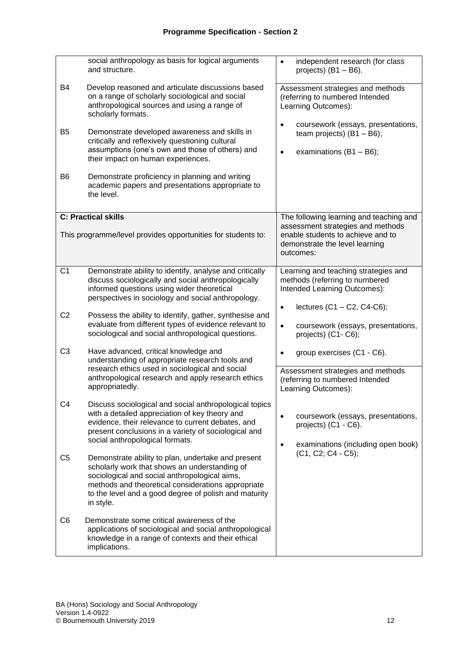|                | social anthropology as basis for logical arguments<br>and structure.                                                                                                                                                                                                             | independent research (for class<br>$\bullet$<br>projects) $(B1 - B6)$ .                                                                |
|----------------|----------------------------------------------------------------------------------------------------------------------------------------------------------------------------------------------------------------------------------------------------------------------------------|----------------------------------------------------------------------------------------------------------------------------------------|
| B4             | Develop reasoned and articulate discussions based<br>on a range of scholarly sociological and social<br>anthropological sources and using a range of<br>scholarly formats.                                                                                                       | Assessment strategies and methods<br>(referring to numbered Intended<br>Learning Outcomes):                                            |
| B <sub>5</sub> | Demonstrate developed awareness and skills in<br>critically and reflexively questioning cultural<br>assumptions (one's own and those of others) and<br>their impact on human experiences.                                                                                        | coursework (essays, presentations,<br>$\bullet$<br>team projects) $(B1 - B6)$ ;<br>examinations $(B1 - B6)$ ;<br>$\bullet$             |
| B <sub>6</sub> | Demonstrate proficiency in planning and writing<br>academic papers and presentations appropriate to<br>the level.                                                                                                                                                                |                                                                                                                                        |
|                | <b>C: Practical skills</b>                                                                                                                                                                                                                                                       | The following learning and teaching and                                                                                                |
|                | This programme/level provides opportunities for students to:                                                                                                                                                                                                                     | assessment strategies and methods<br>enable students to achieve and to<br>demonstrate the level learning<br>outcomes:                  |
| C <sub>1</sub> | Demonstrate ability to identify, analyse and critically<br>discuss sociologically and social anthropologically<br>informed questions using wider theoretical<br>perspectives in sociology and social anthropology.                                                               | Learning and teaching strategies and<br>methods (referring to numbered<br>Intended Learning Outcomes):                                 |
| C <sub>2</sub> | Possess the ability to identify, gather, synthesise and<br>evaluate from different types of evidence relevant to<br>sociological and social anthropological questions.                                                                                                           | lectures $(C1 - C2, C4-C6)$ ;<br>$\bullet$<br>coursework (essays, presentations,<br>$\bullet$<br>projects) (C1-C6);                    |
| C <sub>3</sub> | Have advanced, critical knowledge and<br>understanding of appropriate research tools and<br>research ethics used in sociological and social<br>anthropological research and apply research ethics<br>appropriatedly.                                                             | group exercises (C1 - C6).<br>$\bullet$<br>Assessment strategies and methods<br>(referring to numbered Intended<br>Learning Outcomes): |
| C4             | Discuss sociological and social anthropological topics<br>with a detailed appreciation of key theory and<br>evidence, their relevance to current debates, and<br>present conclusions in a variety of sociological and<br>social anthropological formats.                         | coursework (essays, presentations,<br>projects) (C1 - C6).<br>examinations (including open book)<br>$\bullet$                          |
| C <sub>5</sub> | Demonstrate ability to plan, undertake and present<br>scholarly work that shows an understanding of<br>sociological and social anthropological aims,<br>methods and theoretical considerations appropriate<br>to the level and a good degree of polish and maturity<br>in style. | (C1, C2; C4 - C5);                                                                                                                     |
| C <sub>6</sub> | Demonstrate some critical awareness of the<br>applications of sociological and social anthropological<br>knowledge in a range of contexts and their ethical<br>implications.                                                                                                     |                                                                                                                                        |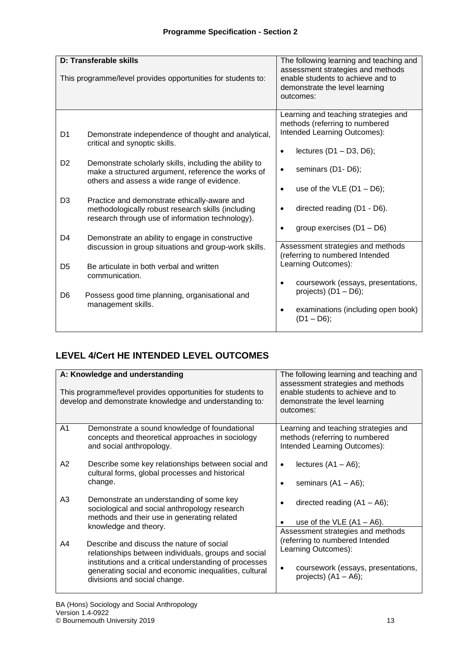|                      | D: Transferable skills<br>This programme/level provides opportunities for students to:                                                                                                                                                              | The following learning and teaching and<br>assessment strategies and methods<br>enable students to achieve and to<br>demonstrate the level learning<br>outcomes:                    |
|----------------------|-----------------------------------------------------------------------------------------------------------------------------------------------------------------------------------------------------------------------------------------------------|-------------------------------------------------------------------------------------------------------------------------------------------------------------------------------------|
| D1<br>D <sub>2</sub> | Demonstrate independence of thought and analytical,<br>critical and synoptic skills.<br>Demonstrate scholarly skills, including the ability to<br>make a structured argument, reference the works of<br>others and assess a wide range of evidence. | Learning and teaching strategies and<br>methods (referring to numbered<br>Intended Learning Outcomes):<br>lectures $(D1 - D3, D6)$ ;<br>$\bullet$<br>seminars (D1-D6);<br>$\bullet$ |
| D <sub>3</sub>       | Practice and demonstrate ethically-aware and<br>methodologically robust research skills (including<br>research through use of information technology).                                                                                              | use of the VLE $(D1 - D6)$ ;<br>$\bullet$<br>directed reading (D1 - D6).<br>group exercises $(D1 - D6)$                                                                             |
| D4<br>D <sub>5</sub> | Demonstrate an ability to engage in constructive<br>discussion in group situations and group-work skills.<br>Be articulate in both verbal and written                                                                                               | Assessment strategies and methods<br>(referring to numbered Intended<br>Learning Outcomes):                                                                                         |
| D <sub>6</sub>       | communication.<br>Possess good time planning, organisational and<br>management skills.                                                                                                                                                              | coursework (essays, presentations,<br>$\bullet$<br>projects) $(D1 - D6)$ ;<br>examinations (including open book)<br>$\bullet$<br>$(D1 - D6)$ ;                                      |

# **LEVEL 4/Cert HE INTENDED LEVEL OUTCOMES**

|    | A: Knowledge and understanding                                                                                                                                                                                                                       | The following learning and teaching and                                                                                                                      |
|----|------------------------------------------------------------------------------------------------------------------------------------------------------------------------------------------------------------------------------------------------------|--------------------------------------------------------------------------------------------------------------------------------------------------------------|
|    | This programme/level provides opportunities for students to<br>develop and demonstrate knowledge and understanding to:                                                                                                                               | assessment strategies and methods<br>enable students to achieve and to<br>demonstrate the level learning<br>outcomes:                                        |
| A1 | Demonstrate a sound knowledge of foundational<br>concepts and theoretical approaches in sociology<br>and social anthropology.                                                                                                                        | Learning and teaching strategies and<br>methods (referring to numbered<br>Intended Learning Outcomes):                                                       |
| A2 | Describe some key relationships between social and<br>cultural forms, global processes and historical<br>change.                                                                                                                                     | lectures $(A1 - A6)$ ;<br>$\bullet$<br>seminars $(A1 - A6)$ ;                                                                                                |
| A3 | Demonstrate an understanding of some key<br>sociological and social anthropology research<br>methods and their use in generating related<br>knowledge and theory.                                                                                    | directed reading $(A1 - A6)$ ;<br>use of the VLE $(A1 - A6)$ .                                                                                               |
| A4 | Describe and discuss the nature of social<br>relationships between individuals, groups and social<br>institutions and a critical understanding of processes<br>generating social and economic inequalities, cultural<br>divisions and social change. | Assessment strategies and methods<br>(referring to numbered Intended<br>Learning Outcomes):<br>coursework (essays, presentations,<br>projects) $(A1 - A6)$ ; |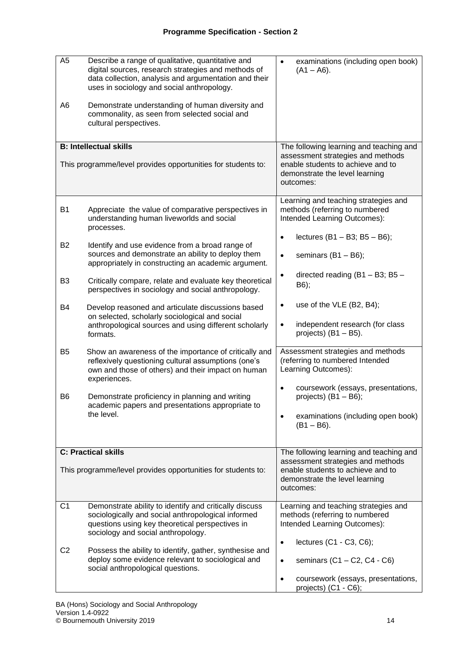| A <sub>5</sub> | Describe a range of qualitative, quantitative and<br>digital sources, research strategies and methods of<br>data collection, analysis and argumentation and their<br>uses in sociology and social anthropology. | examinations (including open book)<br>$\bullet$<br>$(A1 - A6)$ .                                                      |  |  |  |  |  |  |  |  |  |
|----------------|-----------------------------------------------------------------------------------------------------------------------------------------------------------------------------------------------------------------|-----------------------------------------------------------------------------------------------------------------------|--|--|--|--|--|--|--|--|--|
| A6             | Demonstrate understanding of human diversity and<br>commonality, as seen from selected social and<br>cultural perspectives.                                                                                     |                                                                                                                       |  |  |  |  |  |  |  |  |  |
|                | <b>B: Intellectual skills</b>                                                                                                                                                                                   | The following learning and teaching and<br>assessment strategies and methods                                          |  |  |  |  |  |  |  |  |  |
|                | This programme/level provides opportunities for students to:                                                                                                                                                    | enable students to achieve and to<br>demonstrate the level learning<br>outcomes:                                      |  |  |  |  |  |  |  |  |  |
| <b>B1</b>      | Appreciate the value of comparative perspectives in<br>understanding human liveworlds and social<br>processes.                                                                                                  | Learning and teaching strategies and<br>methods (referring to numbered<br>Intended Learning Outcomes):                |  |  |  |  |  |  |  |  |  |
| <b>B2</b>      | Identify and use evidence from a broad range of<br>sources and demonstrate an ability to deploy them<br>appropriately in constructing an academic argument.                                                     | lectures $(B1 - B3; B5 - B6);$<br>$\bullet$<br>seminars $(B1 - B6)$ ;<br>$\bullet$                                    |  |  |  |  |  |  |  |  |  |
| B3             | Critically compare, relate and evaluate key theoretical<br>perspectives in sociology and social anthropology.                                                                                                   | directed reading (B1 - B3; B5 -<br>$\bullet$<br>B6);                                                                  |  |  |  |  |  |  |  |  |  |
| B4             | Develop reasoned and articulate discussions based<br>on selected, scholarly sociological and social<br>anthropological sources and using different scholarly<br>formats.                                        | use of the VLE (B2, B4);<br>$\bullet$<br>independent research (for class<br>$\bullet$<br>projects) (B1 - B5).         |  |  |  |  |  |  |  |  |  |
| B <sub>5</sub> | Show an awareness of the importance of critically and<br>reflexively questioning cultural assumptions (one's<br>own and those of others) and their impact on human<br>experiences.                              | Assessment strategies and methods<br>(referring to numbered Intended<br>Learning Outcomes):                           |  |  |  |  |  |  |  |  |  |
| B6             | Demonstrate proficiency in planning and writing<br>academic papers and presentations appropriate to                                                                                                             | coursework (essays, presentations,<br>$\bullet$<br>projects) $(B1 - B6)$ ;                                            |  |  |  |  |  |  |  |  |  |
|                | the level.                                                                                                                                                                                                      | examinations (including open book)<br>$(B1 - B6)$ .                                                                   |  |  |  |  |  |  |  |  |  |
|                | <b>C: Practical skills</b>                                                                                                                                                                                      | The following learning and teaching and                                                                               |  |  |  |  |  |  |  |  |  |
|                | This programme/level provides opportunities for students to:                                                                                                                                                    | assessment strategies and methods<br>enable students to achieve and to<br>demonstrate the level learning<br>outcomes: |  |  |  |  |  |  |  |  |  |
| C1             | Demonstrate ability to identify and critically discuss<br>sociologically and social anthropological informed<br>questions using key theoretical perspectives in<br>sociology and social anthropology.           | Learning and teaching strategies and<br>methods (referring to numbered<br>Intended Learning Outcomes):                |  |  |  |  |  |  |  |  |  |
| C <sub>2</sub> | Possess the ability to identify, gather, synthesise and<br>deploy some evidence relevant to sociological and<br>social anthropological questions.                                                               | lectures (C1 - C3, C6);<br>$\bullet$<br>seminars $(C1 - C2, C4 - C6)$<br>$\bullet$                                    |  |  |  |  |  |  |  |  |  |
|                |                                                                                                                                                                                                                 | coursework (essays, presentations,<br>$\bullet$<br>projects) (C1 - C6);                                               |  |  |  |  |  |  |  |  |  |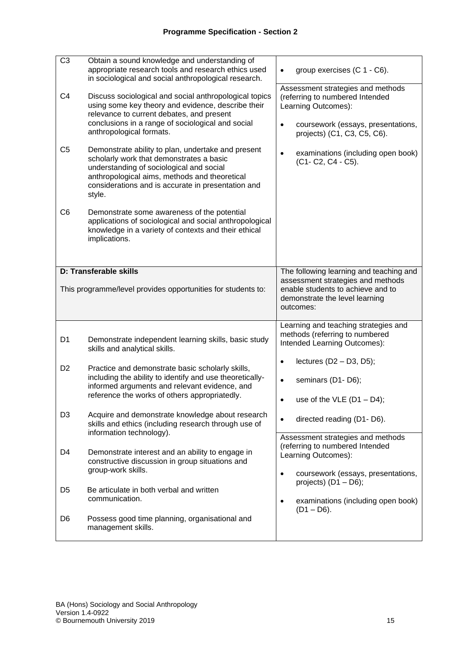| C <sub>3</sub> | Obtain a sound knowledge and understanding of<br>appropriate research tools and research ethics used<br>in sociological and social anthropological research.                                                                                                | group exercises (C 1 - C6).                                                                                                                    |  |  |  |  |  |  |  |
|----------------|-------------------------------------------------------------------------------------------------------------------------------------------------------------------------------------------------------------------------------------------------------------|------------------------------------------------------------------------------------------------------------------------------------------------|--|--|--|--|--|--|--|
| C <sub>4</sub> | Discuss sociological and social anthropological topics<br>using some key theory and evidence, describe their<br>relevance to current debates, and present<br>conclusions in a range of sociological and social                                              | Assessment strategies and methods<br>(referring to numbered Intended<br>Learning Outcomes):<br>$\bullet$<br>coursework (essays, presentations, |  |  |  |  |  |  |  |
|                | anthropological formats.                                                                                                                                                                                                                                    | projects) (C1, C3, C5, C6).                                                                                                                    |  |  |  |  |  |  |  |
| C <sub>5</sub> | Demonstrate ability to plan, undertake and present<br>scholarly work that demonstrates a basic<br>understanding of sociological and social<br>anthropological aims, methods and theoretical<br>considerations and is accurate in presentation and<br>style. | examinations (including open book)<br>$\bullet$<br>(C1- C2, C4 - C5).                                                                          |  |  |  |  |  |  |  |
| C <sub>6</sub> | Demonstrate some awareness of the potential<br>applications of sociological and social anthropological<br>knowledge in a variety of contexts and their ethical<br>implications.                                                                             |                                                                                                                                                |  |  |  |  |  |  |  |
|                | <b>D: Transferable skills</b>                                                                                                                                                                                                                               | The following learning and teaching and<br>assessment strategies and methods                                                                   |  |  |  |  |  |  |  |
|                | This programme/level provides opportunities for students to:                                                                                                                                                                                                | enable students to achieve and to<br>demonstrate the level learning<br>outcomes:                                                               |  |  |  |  |  |  |  |
| D <sub>1</sub> | Demonstrate independent learning skills, basic study<br>skills and analytical skills.                                                                                                                                                                       | Learning and teaching strategies and<br>methods (referring to numbered<br>Intended Learning Outcomes):                                         |  |  |  |  |  |  |  |
| D <sub>2</sub> | Practice and demonstrate basic scholarly skills,<br>including the ability to identify and use theoretically-                                                                                                                                                | lectures $(D2 - D3, D5)$ ;<br>$\bullet$<br>seminars (D1-D6);<br>$\bullet$                                                                      |  |  |  |  |  |  |  |
|                | informed arguments and relevant evidence, and<br>reference the works of others appropriatedly.                                                                                                                                                              | use of the VLE $(D1 - D4)$ ;                                                                                                                   |  |  |  |  |  |  |  |
| D <sub>3</sub> | Acquire and demonstrate knowledge about research<br>skills and ethics (including research through use of                                                                                                                                                    | directed reading (D1-D6).                                                                                                                      |  |  |  |  |  |  |  |
|                |                                                                                                                                                                                                                                                             |                                                                                                                                                |  |  |  |  |  |  |  |
| D4             | information technology).<br>Demonstrate interest and an ability to engage in<br>constructive discussion in group situations and                                                                                                                             | Assessment strategies and methods<br>(referring to numbered Intended<br>Learning Outcomes):                                                    |  |  |  |  |  |  |  |
|                | group-work skills.                                                                                                                                                                                                                                          | coursework (essays, presentations,<br>$\bullet$<br>projects) $(D1 - D6)$ ;                                                                     |  |  |  |  |  |  |  |
| D5             | Be articulate in both verbal and written<br>communication.                                                                                                                                                                                                  | examinations (including open book)<br>$\bullet$<br>$(D1 - D6)$ .                                                                               |  |  |  |  |  |  |  |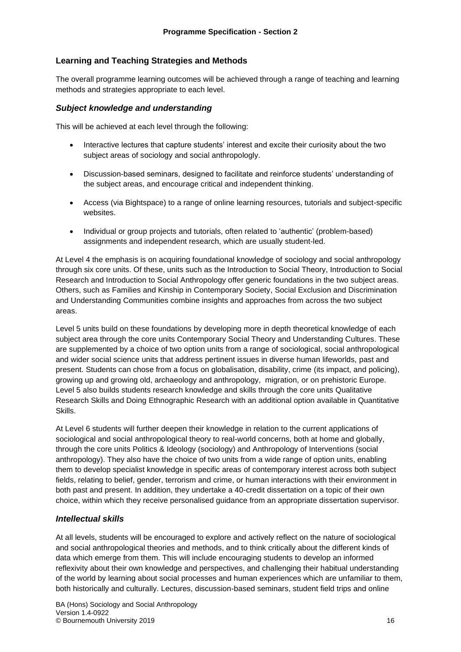#### **Learning and Teaching Strategies and Methods**

The overall programme learning outcomes will be achieved through a range of teaching and learning methods and strategies appropriate to each level.

#### *Subject knowledge and understanding*

This will be achieved at each level through the following:

- Interactive lectures that capture students' interest and excite their curiosity about the two subject areas of sociology and social anthropologly.
- Discussion-based seminars, designed to facilitate and reinforce students' understanding of the subject areas, and encourage critical and independent thinking.
- Access (via Bightspace) to a range of online learning resources, tutorials and subject-specific websites.
- Individual or group projects and tutorials, often related to 'authentic' (problem-based) assignments and independent research, which are usually student-led.

At Level 4 the emphasis is on acquiring foundational knowledge of sociology and social anthropology through six core units. Of these, units such as the Introduction to Social Theory, Introduction to Social Research and Introduction to Social Anthropology offer generic foundations in the two subject areas. Others, such as Families and Kinship in Contemporary Society, Social Exclusion and Discrimination and Understanding Communities combine insights and approaches from across the two subject areas.

Level 5 units build on these foundations by developing more in depth theoretical knowledge of each subject area through the core units Contemporary Social Theory and Understanding Cultures. These are supplemented by a choice of two option units from a range of sociological, social anthropological and wider social science units that address pertinent issues in diverse human lifeworlds, past and present. Students can chose from a focus on globalisation, disability, crime (its impact, and policing), growing up and growing old, archaeology and anthropology, migration, or on prehistoric Europe. Level 5 also builds students research knowledge and skills through the core units Qualitative Research Skills and Doing Ethnographic Research with an additional option available in Quantitative Skills.

At Level 6 students will further deepen their knowledge in relation to the current applications of sociological and social anthropological theory to real-world concerns, both at home and globally, through the core units Politics & Ideology (sociology) and Anthropology of Interventions (social anthropology). They also have the choice of two units from a wide range of option units, enabling them to develop specialist knowledge in specific areas of contemporary interest across both subject fields, relating to belief, gender, terrorism and crime, or human interactions with their environment in both past and present. In addition, they undertake a 40-credit dissertation on a topic of their own choice, within which they receive personalised guidance from an appropriate dissertation supervisor.

#### *Intellectual skills*

At all levels, students will be encouraged to explore and actively reflect on the nature of sociological and social anthropological theories and methods, and to think critically about the different kinds of data which emerge from them. This will include encouraging students to develop an informed reflexivity about their own knowledge and perspectives, and challenging their habitual understanding of the world by learning about social processes and human experiences which are unfamiliar to them, both historically and culturally. Lectures, discussion-based seminars, student field trips and online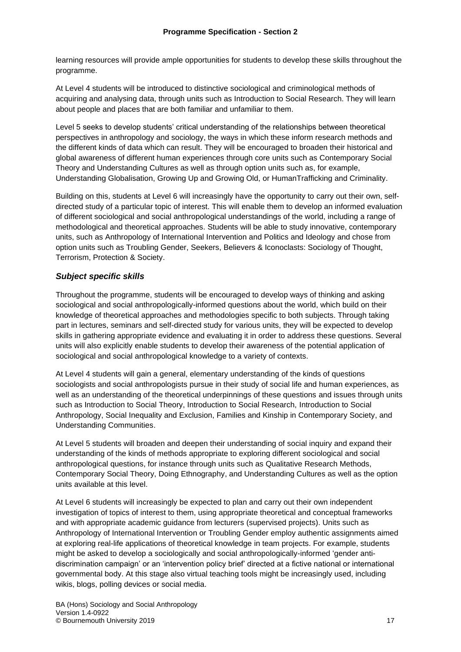learning resources will provide ample opportunities for students to develop these skills throughout the programme.

At Level 4 students will be introduced to distinctive sociological and criminological methods of acquiring and analysing data, through units such as Introduction to Social Research. They will learn about people and places that are both familiar and unfamiliar to them.

Level 5 seeks to develop students' critical understanding of the relationships between theoretical perspectives in anthropology and sociology, the ways in which these inform research methods and the different kinds of data which can result. They will be encouraged to broaden their historical and global awareness of different human experiences through core units such as Contemporary Social Theory and Understanding Cultures as well as through option units such as, for example, Understanding Globalisation, Growing Up and Growing Old, or HumanTrafficking and Criminality.

Building on this, students at Level 6 will increasingly have the opportunity to carry out their own, selfdirected study of a particular topic of interest. This will enable them to develop an informed evaluation of different sociological and social anthropological understandings of the world, including a range of methodological and theoretical approaches. Students will be able to study innovative, contemporary units, such as Anthropology of International Intervention and Politics and Ideology and chose from option units such as Troubling Gender, Seekers, Believers & Iconoclasts: Sociology of Thought, Terrorism, Protection & Society.

## *Subject specific skills*

Throughout the programme, students will be encouraged to develop ways of thinking and asking sociological and social anthropologically-informed questions about the world, which build on their knowledge of theoretical approaches and methodologies specific to both subjects. Through taking part in lectures, seminars and self-directed study for various units, they will be expected to develop skills in gathering appropriate evidence and evaluating it in order to address these questions. Several units will also explicitly enable students to develop their awareness of the potential application of sociological and social anthropological knowledge to a variety of contexts.

At Level 4 students will gain a general, elementary understanding of the kinds of questions sociologists and social anthropologists pursue in their study of social life and human experiences, as well as an understanding of the theoretical underpinnings of these questions and issues through units such as Introduction to Social Theory, Introduction to Social Research, Introduction to Social Anthropology, Social Inequality and Exclusion, Families and Kinship in Contemporary Society, and Understanding Communities.

At Level 5 students will broaden and deepen their understanding of social inquiry and expand their understanding of the kinds of methods appropriate to exploring different sociological and social anthropological questions, for instance through units such as Qualitative Research Methods, Contemporary Social Theory, Doing Ethnography, and Understanding Cultures as well as the option units available at this level.

At Level 6 students will increasingly be expected to plan and carry out their own independent investigation of topics of interest to them, using appropriate theoretical and conceptual frameworks and with appropriate academic guidance from lecturers (supervised projects). Units such as Anthropology of International Intervention or Troubling Gender employ authentic assignments aimed at exploring real-life applications of theoretical knowledge in team projects. For example, students might be asked to develop a sociologically and social anthropologically-informed 'gender antidiscrimination campaign' or an 'intervention policy brief' directed at a fictive national or international governmental body. At this stage also virtual teaching tools might be increasingly used, including wikis, blogs, polling devices or social media.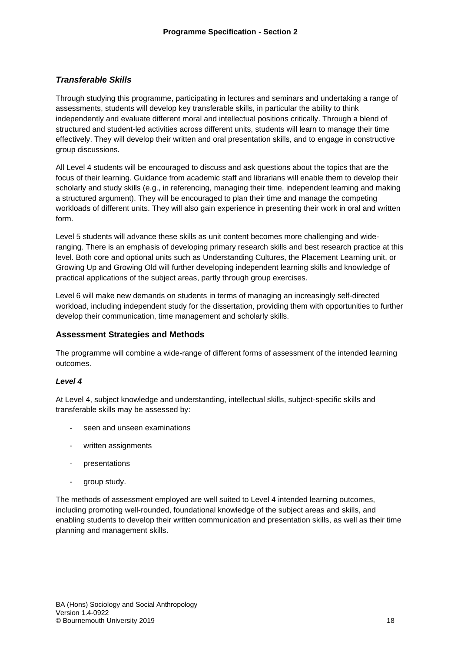#### *Transferable Skills*

Through studying this programme, participating in lectures and seminars and undertaking a range of assessments, students will develop key transferable skills, in particular the ability to think independently and evaluate different moral and intellectual positions critically. Through a blend of structured and student-led activities across different units, students will learn to manage their time effectively. They will develop their written and oral presentation skills, and to engage in constructive group discussions.

All Level 4 students will be encouraged to discuss and ask questions about the topics that are the focus of their learning. Guidance from academic staff and librarians will enable them to develop their scholarly and study skills (e.g., in referencing, managing their time, independent learning and making a structured argument). They will be encouraged to plan their time and manage the competing workloads of different units. They will also gain experience in presenting their work in oral and written form.

Level 5 students will advance these skills as unit content becomes more challenging and wideranging. There is an emphasis of developing primary research skills and best research practice at this level. Both core and optional units such as Understanding Cultures, the Placement Learning unit, or Growing Up and Growing Old will further developing independent learning skills and knowledge of practical applications of the subject areas, partly through group exercises.

Level 6 will make new demands on students in terms of managing an increasingly self-directed workload, including independent study for the dissertation, providing them with opportunities to further develop their communication, time management and scholarly skills.

#### **Assessment Strategies and Methods**

The programme will combine a wide-range of different forms of assessment of the intended learning outcomes.

#### *Level 4*

At Level 4, subject knowledge and understanding, intellectual skills, subject-specific skills and transferable skills may be assessed by:

- seen and unseen examinations
- written assignments
- presentations
- group study.

The methods of assessment employed are well suited to Level 4 intended learning outcomes, including promoting well-rounded, foundational knowledge of the subject areas and skills, and enabling students to develop their written communication and presentation skills, as well as their time planning and management skills.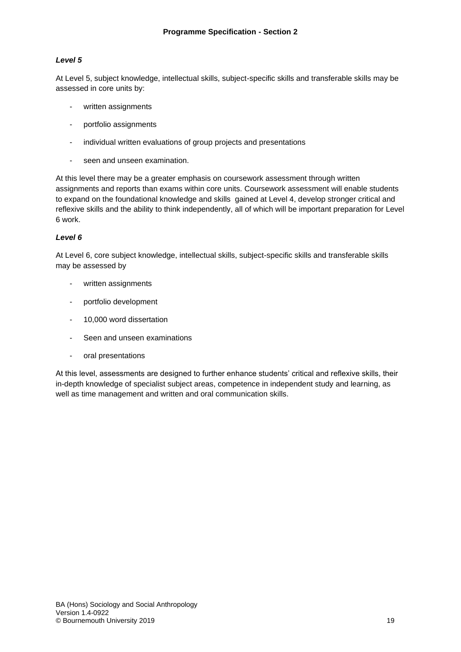#### *Level 5*

At Level 5, subject knowledge, intellectual skills, subject-specific skills and transferable skills may be assessed in core units by:

- written assignments
- portfolio assignments
- individual written evaluations of group projects and presentations
- seen and unseen examination.

At this level there may be a greater emphasis on coursework assessment through written assignments and reports than exams within core units. Coursework assessment will enable students to expand on the foundational knowledge and skills gained at Level 4, develop stronger critical and reflexive skills and the ability to think independently, all of which will be important preparation for Level 6 work.

#### *Level 6*

At Level 6, core subject knowledge, intellectual skills, subject-specific skills and transferable skills may be assessed by

- written assignments
- portfolio development
- 10,000 word dissertation
- Seen and unseen examinations
- oral presentations

At this level, assessments are designed to further enhance students' critical and reflexive skills, their in-depth knowledge of specialist subject areas, competence in independent study and learning, as well as time management and written and oral communication skills.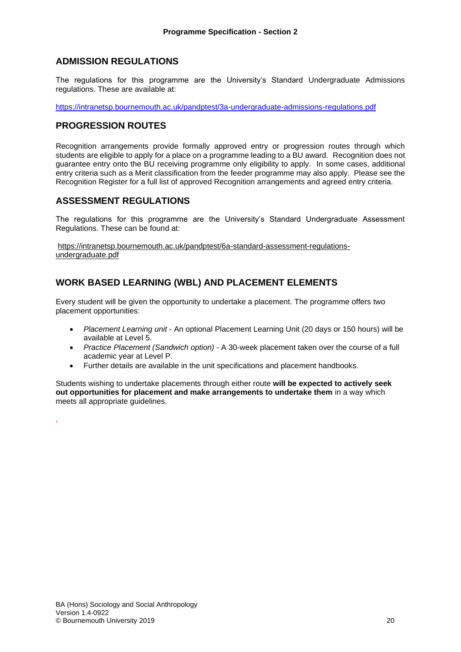## **ADMISSION REGULATIONS**

The regulations for this programme are the University's Standard Undergraduate Admissions regulations. These are available at:

<https://intranetsp.bournemouth.ac.uk/pandptest/3a-undergraduate-admissions-regulations.pdf>

## **PROGRESSION ROUTES**

Recognition arrangements provide formally approved entry or progression routes through which students are eligible to apply for a place on a programme leading to a BU award. Recognition does not guarantee entry onto the BU receiving programme only eligibility to apply. In some cases, additional entry criteria such as a Merit classification from the feeder programme may also apply. Please see the Recognition Register for a full list of approved Recognition arrangements and agreed entry criteria.

## **ASSESSMENT REGULATIONS**

The regulations for this programme are the University's Standard Undergraduate Assessment Regulations. These can be found at:

[https://intranetsp.bournemouth.ac.uk/pandptest/6a-standard-assessment-regulations](https://intranetsp.bournemouth.ac.uk/pandptest/6a-standard-assessment-regulations-undergraduate.pdf)[undergraduate.pdf](https://intranetsp.bournemouth.ac.uk/pandptest/6a-standard-assessment-regulations-undergraduate.pdf)

# **WORK BASED LEARNING (WBL) AND PLACEMENT ELEMENTS**

Every student will be given the opportunity to undertake a placement. The programme offers two placement opportunities:

- *Placement Learning unit* An optional Placement Learning Unit (20 days or 150 hours) will be available at Level 5.
- *Practice Placement (Sandwich option)* A 30-week placement taken over the course of a full academic year at Level P.
- Further details are available in the unit specifications and placement handbooks.

Students wishing to undertake placements through either route **will be expected to actively seek out opportunities for placement and make arrangements to undertake them** in a way which meets all appropriate guidelines.

,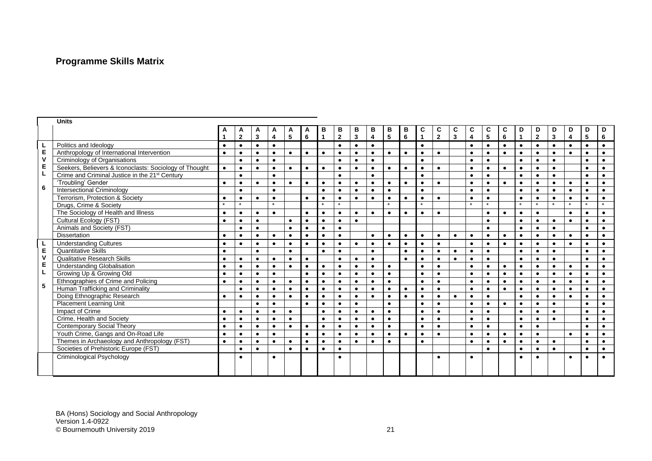# **Programme Skills Matrix**

|              | <b>Units</b>                                               |           |              |              |                         |           |           |                |                |                         |                         |                |           |              |              |                         |           |            |           |                |                |              |           |                |           |
|--------------|------------------------------------------------------------|-----------|--------------|--------------|-------------------------|-----------|-----------|----------------|----------------|-------------------------|-------------------------|----------------|-----------|--------------|--------------|-------------------------|-----------|------------|-----------|----------------|----------------|--------------|-----------|----------------|-----------|
|              |                                                            |           | A            | A            | A                       | A         | A         | в              | В              | В                       | в                       | В              | в         | C            | C            | C                       | C         | C          | C         | D              | D              | D            | D         | D              | D         |
|              |                                                            |           | $\mathbf{2}$ | $\mathbf{3}$ | $\overline{\mathbf{4}}$ | 5         | 6         | $\overline{1}$ | $\overline{2}$ | $\overline{\mathbf{3}}$ | $\overline{\mathbf{4}}$ | $5\phantom{a}$ | 6         | $\mathbf{1}$ | $\mathbf{2}$ | $\overline{\mathbf{3}}$ | 4         | $\sqrt{5}$ | 6         | $\overline{1}$ | $\overline{2}$ | $\mathbf{3}$ | 4         | $5\phantom{a}$ | 6         |
|              | Politics and Ideology                                      | $\bullet$ | $\bullet$    | $\bullet$    | $\bullet$               |           |           |                | $\bullet$      | $\bullet$               | $\bullet$               |                |           | $\bullet$    |              |                         | $\bullet$ | $\bullet$  | $\bullet$ | $\bullet$      | $\bullet$      | $\bullet$    | $\bullet$ | $\bullet$      | $\bullet$ |
| Е            | Anthropology of International Intervention                 | $\bullet$ | $\bullet$    | $\bullet$    | $\bullet$               | $\bullet$ | $\bullet$ | $\bullet$      | $\bullet$      | $\bullet$               | $\bullet$               | $\bullet$      | $\bullet$ | $\bullet$    | $\bullet$    |                         | $\bullet$ | $\bullet$  | $\bullet$ | $\bullet$      | $\bullet$      | $\bullet$    | $\bullet$ | $\bullet$      | $\bullet$ |
| $\mathsf{V}$ | Criminology of Organisations                               |           | $\bullet$    | $\bullet$    | $\bullet$               |           |           |                | $\bullet$      | $\bullet$               | $\bullet$               |                |           | $\bullet$    |              |                         | $\bullet$ | $\bullet$  |           | $\bullet$      | $\bullet$      |              |           | $\bullet$      | $\bullet$ |
| E            | Seekers, Believers & Iconoclasts: Sociology of Thought     | $\bullet$ | $\bullet$    | $\bullet$    | $\bullet$               | $\bullet$ | $\bullet$ | $\bullet$      | $\bullet$      | $\bullet$               | $\bullet$               | $\bullet$      | $\bullet$ | $\bullet$    | $\bullet$    |                         | $\bullet$ | $\bullet$  | $\bullet$ | $\bullet$      | $\bullet$      | $\bullet$    |           | $\bullet$      | $\bullet$ |
|              | Crime and Criminal Justice in the 21 <sup>st</sup> Century |           | $\bullet$    |              | $\bullet$               |           |           |                | $\bullet$      |                         | $\bullet$               |                |           | $\bullet$    |              |                         | $\bullet$ | $\bullet$  |           | $\bullet$      | $\bullet$      | $\bullet$    |           | $\bullet$      | $\bullet$ |
|              | 'Troubling' Gender                                         | $\bullet$ | $\bullet$    | $\bullet$    | $\bullet$               | $\bullet$ | $\bullet$ | $\bullet$      | $\bullet$      | $\bullet$               | $\bullet$               | $\bullet$      | $\bullet$ | $\bullet$    | $\bullet$    |                         | $\bullet$ | $\bullet$  | $\bullet$ | $\bullet$      | $\bullet$      |              | $\bullet$ | $\bullet$      | $\bullet$ |
| 6            | Intersectional Criminology                                 |           | $\bullet$    |              | $\bullet$               |           |           | $\bullet$      | $\bullet$      | $\bullet$               | $\bullet$               | $\bullet$      |           | $\bullet$    |              |                         | $\bullet$ | $\bullet$  |           | $\bullet$      | $\bullet$      | $\bullet$    | $\bullet$ | $\bullet$      | $\bullet$ |
|              | Terrorism, Protection & Society                            | $\bullet$ | $\bullet$    | $\bullet$    | $\bullet$               |           | $\bullet$ | $\bullet$      | $\bullet$      | $\bullet$               | $\bullet$               | $\bullet$      | $\bullet$ | $\bullet$    | $\bullet$    |                         | $\bullet$ | $\bullet$  |           | $\bullet$      | $\bullet$      | $\bullet$    | $\bullet$ | $\bullet$      | $\bullet$ |
|              | Drugs, Crime & Society                                     |           | $\star$      |              | $\star$                 |           |           | $\star$        | $\star$        |                         |                         | $\star$        |           | $\star$      |              |                         | $\star$   | $\star$    |           | $\star$        | $\star$        |              | $\star$   | $\star$        | $\star$   |
|              | The Sociology of Health and Illness                        | $\bullet$ | $\bullet$    | $\bullet$    | $\bullet$               |           | $\bullet$ | $\bullet$      | $\bullet$      | $\bullet$               | $\bullet$               | $\bullet$      | $\bullet$ | $\bullet$    | $\bullet$    |                         |           | $\bullet$  | $\bullet$ | $\bullet$      | $\bullet$      |              | $\bullet$ | $\bullet$      | $\bullet$ |
|              | Cultural Ecology (FST)                                     | $\bullet$ | $\bullet$    | $\bullet$    |                         | $\bullet$ | $\bullet$ | $\bullet$      | $\bullet$      | $\bullet$               |                         |                |           |              |              |                         |           | $\bullet$  |           | $\bullet$      | $\bullet$      | $\bullet$    | $\bullet$ | $\bullet$      | $\bullet$ |
|              | Animals and Society (FST)                                  |           | $\bullet$    | $\bullet$    |                         | $\bullet$ | $\bullet$ | $\bullet$      | $\bullet$      |                         |                         |                |           |              |              |                         |           | $\bullet$  |           | $\bullet$      | $\bullet$      | $\bullet$    |           | $\bullet$      | $\bullet$ |
|              | <b>Dissertation</b>                                        | $\bullet$ | $\bullet$    | $\bullet$    | $\bullet$               | $\bullet$ | $\bullet$ | $\bullet$      | $\bullet$      |                         | $\bullet$               | $\bullet$      | $\bullet$ | $\bullet$    | $\bullet$    | $\bullet$               | $\bullet$ | $\bullet$  | $\bullet$ | $\bullet$      | $\bullet$      | $\bullet$    | $\bullet$ | $\bullet$      | $\bullet$ |
|              | <b>Understanding Cultures</b>                              | $\bullet$ | $\bullet$    | $\bullet$    | $\bullet$               | $\bullet$ | $\bullet$ | $\bullet$      | $\bullet$      | $\bullet$               | $\bullet$               | $\bullet$      | $\bullet$ | $\bullet$    | $\bullet$    |                         | $\bullet$ | $\bullet$  | $\bullet$ | $\bullet$      | $\bullet$      | $\bullet$    | $\bullet$ | $\bullet$      | $\bullet$ |
| E            | <b>Quantitative Skills</b>                                 | $\bullet$ |              | $\bullet$    |                         | $\bullet$ |           | $\bullet$      | $\bullet$      |                         | $\bullet$               |                | $\bullet$ | $\bullet$    | $\bullet$    | $\bullet$               | $\bullet$ | $\bullet$  |           | $\bullet$      | $\bullet$      | $\bullet$    |           | $\bullet$      | $\bullet$ |
| $\mathsf{v}$ | <b>Qualitative Research Skills</b>                         | $\bullet$ | $\bullet$    | $\bullet$    | $\bullet$               | $\bullet$ | $\bullet$ |                | $\bullet$      | $\bullet$               | $\bullet$               |                | $\bullet$ | $\bullet$    | $\bullet$    | $\bullet$               | $\bullet$ | $\bullet$  |           | $\bullet$      | $\bullet$      | $\bullet$    |           | $\bullet$      | $\bullet$ |
| E            | <b>Understanding Globalisation</b>                         | $\bullet$ | $\bullet$    | $\bullet$    | $\bullet$               | $\bullet$ | $\bullet$ | $\bullet$      | $\bullet$      | $\bullet$               | $\bullet$               | $\bullet$      |           | $\bullet$    | $\bullet$    |                         | $\bullet$ | $\bullet$  | $\bullet$ | $\bullet$      | $\bullet$      | $\bullet$    | $\bullet$ | $\bullet$      | $\bullet$ |
| L            | Growing Up & Growing Old                                   | $\bullet$ | $\bullet$    | $\bullet$    | $\bullet$               |           | $\bullet$ | $\bullet$      | $\bullet$      | $\bullet$               | $\bullet$               | $\bullet$      |           | $\bullet$    | $\bullet$    |                         | $\bullet$ | $\bullet$  | $\bullet$ | $\bullet$      | $\bullet$      | $\bullet$    | $\bullet$ | $\bullet$      | $\bullet$ |
|              | Ethnographies of Crime and Policing                        | $\bullet$ | $\bullet$    | $\bullet$    | $\bullet$               | $\bullet$ | $\bullet$ | $\bullet$      | $\bullet$      | $\bullet$               | $\bullet$               | $\bullet$      |           | $\bullet$    | $\bullet$    |                         | $\bullet$ | $\bullet$  | $\bullet$ | $\bullet$      | $\bullet$      | $\bullet$    | $\bullet$ | $\bullet$      | $\bullet$ |
| 5            | Human Trafficking and Criminality                          |           | $\bullet$    | $\bullet$    | $\bullet$               | $\bullet$ | $\bullet$ | $\bullet$      | $\bullet$      | $\bullet$               | $\bullet$               | $\bullet$      | $\bullet$ | $\bullet$    | $\bullet$    |                         | $\bullet$ | $\bullet$  | $\bullet$ | $\bullet$      | $\bullet$      | $\bullet$    | $\bullet$ | $\bullet$      | $\bullet$ |
|              | Doing Ethnographic Research                                | $\bullet$ | $\bullet$    | $\bullet$    | $\bullet$               | $\bullet$ | $\bullet$ | $\bullet$      | $\bullet$      | $\bullet$               | $\bullet$               | $\bullet$      | $\bullet$ | $\bullet$    | $\bullet$    | $\bullet$               | $\bullet$ | $\bullet$  |           | $\bullet$      | $\bullet$      | $\bullet$    | $\bullet$ | $\bullet$      | $\bullet$ |
|              | Placement Learning Unit                                    |           |              | $\bullet$    | $\bullet$               |           | $\bullet$ | $\bullet$      | $\bullet$      | $\bullet$               |                         | $\bullet$      |           | $\bullet$    | $\bullet$    |                         | $\bullet$ | $\bullet$  | $\bullet$ | $\bullet$      | $\bullet$      | $\bullet$    |           | $\bullet$      | $\bullet$ |
|              | Impact of Crime                                            | $\bullet$ | $\bullet$    | $\bullet$    | $\bullet$               | $\bullet$ |           | $\bullet$      | $\bullet$      | $\bullet$               | $\bullet$               | $\bullet$      |           | $\bullet$    | $\bullet$    |                         | $\bullet$ | $\bullet$  |           | $\bullet$      | $\bullet$      |              |           | $\bullet$      | $\bullet$ |
|              | Crime, Health and Society                                  | $\bullet$ | $\bullet$    | $\bullet$    | $\bullet$               | $\bullet$ |           | $\bullet$      | $\bullet$      | $\bullet$               | $\bullet$               | $\bullet$      |           | $\bullet$    | $\bullet$    |                         | $\bullet$ | $\bullet$  |           | $\bullet$      | $\bullet$      | $\bullet$    |           | $\bullet$      | $\bullet$ |
|              | <b>Contemporary Social Theory</b>                          | $\bullet$ | $\bullet$    | $\bullet$    | $\bullet$               | $\bullet$ | $\bullet$ | $\bullet$      | $\bullet$      | $\bullet$               | $\bullet$               | $\bullet$      |           | $\bullet$    | $\bullet$    |                         | $\bullet$ | $\bullet$  |           | $\bullet$      | $\bullet$      |              |           | $\bullet$      | $\bullet$ |
|              | Youth Crime, Gangs and On-Road Life                        | $\bullet$ | $\bullet$    | $\bullet$    | $\bullet$               |           | $\bullet$ | $\bullet$      | $\bullet$      | $\bullet$               | $\bullet$               | $\bullet$      | $\bullet$ | $\bullet$    | $\bullet$    |                         | $\bullet$ | $\bullet$  | $\bullet$ | $\bullet$      | $\bullet$      |              | $\bullet$ | $\bullet$      | $\bullet$ |
|              | Themes in Archaeology and Anthropology (FST)               | $\bullet$ | $\bullet$    | $\bullet$    | $\bullet$               | $\bullet$ | $\bullet$ | $\bullet$      | $\bullet$      | $\bullet$               | $\bullet$               | $\bullet$      |           | $\bullet$    |              |                         | $\bullet$ | $\bullet$  | $\bullet$ | $\bullet$      | $\bullet$      | $\bullet$    |           | $\bullet$      | $\bullet$ |
|              | Societies of Prehistoric Europe (FST)                      |           | $\bullet$    | $\bullet$    |                         | $\bullet$ | $\bullet$ | $\bullet$      | $\bullet$      |                         |                         |                |           |              |              |                         |           | $\bullet$  |           | $\bullet$      | $\bullet$      | $\bullet$    |           | $\bullet$      | $\bullet$ |
|              | Criminological Psychology                                  |           | $\bullet$    |              | $\bullet$               |           |           |                |                |                         |                         |                |           |              | ٠            |                         | $\bullet$ |            |           | $\bullet$      |                |              | $\bullet$ | $\bullet$      |           |
|              |                                                            |           |              |              |                         |           |           |                |                |                         |                         |                |           |              |              |                         |           |            |           |                |                |              |           |                |           |
|              |                                                            |           |              |              |                         |           |           |                |                |                         |                         |                |           |              |              |                         |           |            |           |                |                |              |           |                |           |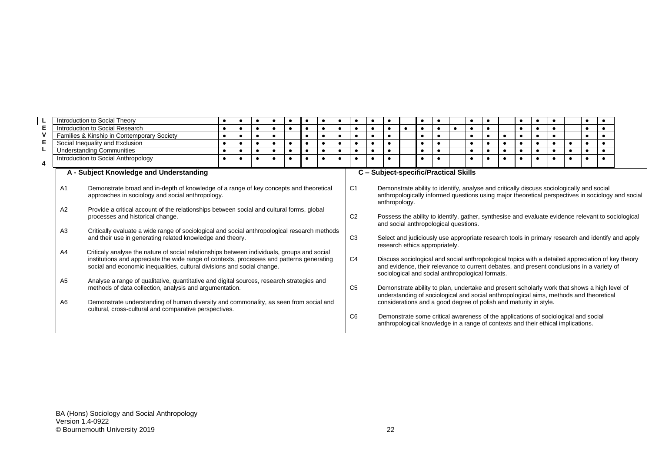|                         |                                                                                                                                                  | Introduction to Social Theory                                                                                                                                                                                                                 | $\bullet$                                                                                                                                                                                                                                                           |           |           |           |           |           |                                       |                                                                                                                                                                                                                                   |                                                                                                                                                               |                                                                                                                                                                                                                                                             |                                                                                                                                    |           |           |  |  |           |  |           |           |  |  |  |           |  |
|-------------------------|--------------------------------------------------------------------------------------------------------------------------------------------------|-----------------------------------------------------------------------------------------------------------------------------------------------------------------------------------------------------------------------------------------------|---------------------------------------------------------------------------------------------------------------------------------------------------------------------------------------------------------------------------------------------------------------------|-----------|-----------|-----------|-----------|-----------|---------------------------------------|-----------------------------------------------------------------------------------------------------------------------------------------------------------------------------------------------------------------------------------|---------------------------------------------------------------------------------------------------------------------------------------------------------------|-------------------------------------------------------------------------------------------------------------------------------------------------------------------------------------------------------------------------------------------------------------|------------------------------------------------------------------------------------------------------------------------------------|-----------|-----------|--|--|-----------|--|-----------|-----------|--|--|--|-----------|--|
| Е                       |                                                                                                                                                  | Introduction to Social Research                                                                                                                                                                                                               | $\bullet$                                                                                                                                                                                                                                                           |           |           | $\bullet$ | $\bullet$ |           |                                       | $\bullet$                                                                                                                                                                                                                         |                                                                                                                                                               |                                                                                                                                                                                                                                                             | $\bullet$                                                                                                                          | $\bullet$ | $\bullet$ |  |  |           |  |           | $\bullet$ |  |  |  |           |  |
| <b>V</b>                |                                                                                                                                                  | Families & Kinship in Contemporary Society                                                                                                                                                                                                    |                                                                                                                                                                                                                                                                     |           |           | $\bullet$ |           |           |                                       |                                                                                                                                                                                                                                   |                                                                                                                                                               |                                                                                                                                                                                                                                                             | $\bullet$                                                                                                                          |           |           |  |  |           |  | $\bullet$ |           |  |  |  |           |  |
| Е                       |                                                                                                                                                  | Social Inequality and Exclusion                                                                                                                                                                                                               | $\bullet$                                                                                                                                                                                                                                                           | $\bullet$ | $\bullet$ | $\bullet$ | $\bullet$ | $\bullet$ | $\bullet$                             | $\bullet$                                                                                                                                                                                                                         |                                                                                                                                                               |                                                                                                                                                                                                                                                             | $\bullet$                                                                                                                          |           | $\bullet$ |  |  | $\bullet$ |  | $\bullet$ | $\bullet$ |  |  |  | $\bullet$ |  |
|                         |                                                                                                                                                  | <b>Understanding Communities</b>                                                                                                                                                                                                              | $\bullet$                                                                                                                                                                                                                                                           |           | $\bullet$ |           | $\bullet$ |           | $\bullet$                             | $\bullet$                                                                                                                                                                                                                         |                                                                                                                                                               |                                                                                                                                                                                                                                                             | $\bullet$                                                                                                                          |           |           |  |  |           |  | $\bullet$ |           |  |  |  |           |  |
| $\overline{\mathbf{4}}$ |                                                                                                                                                  | Introduction to Social Anthropology                                                                                                                                                                                                           |                                                                                                                                                                                                                                                                     |           |           |           |           |           |                                       |                                                                                                                                                                                                                                   |                                                                                                                                                               |                                                                                                                                                                                                                                                             |                                                                                                                                    |           |           |  |  |           |  |           |           |  |  |  |           |  |
|                         | A - Subject Knowledge and Understanding                                                                                                          |                                                                                                                                                                                                                                               |                                                                                                                                                                                                                                                                     |           |           |           |           |           | C - Subject-specific/Practical Skills |                                                                                                                                                                                                                                   |                                                                                                                                                               |                                                                                                                                                                                                                                                             |                                                                                                                                    |           |           |  |  |           |  |           |           |  |  |  |           |  |
|                         | Demonstrate broad and in-depth of knowledge of a range of key concepts and theoretical<br>A1<br>approaches in sociology and social anthropology. |                                                                                                                                                                                                                                               |                                                                                                                                                                                                                                                                     |           |           |           |           |           |                                       | C <sub>1</sub><br>Demonstrate ability to identify, analyse and critically discuss sociologically and social<br>anthropologically informed questions using major theoretical perspectives in sociology and social<br>anthropology. |                                                                                                                                                               |                                                                                                                                                                                                                                                             |                                                                                                                                    |           |           |  |  |           |  |           |           |  |  |  |           |  |
|                         | A2                                                                                                                                               | Provide a critical account of the relationships between social and cultural forms, global<br>processes and historical change.                                                                                                                 |                                                                                                                                                                                                                                                                     |           |           |           |           |           |                                       |                                                                                                                                                                                                                                   | C <sub>2</sub><br>Possess the ability to identify, gather, synthesise and evaluate evidence relevant to sociological<br>and social anthropological questions. |                                                                                                                                                                                                                                                             |                                                                                                                                    |           |           |  |  |           |  |           |           |  |  |  |           |  |
|                         | A3                                                                                                                                               | and their use in generating related knowledge and theory.                                                                                                                                                                                     | Critically evaluate a wide range of sociological and social anthropological research methods                                                                                                                                                                        |           |           |           |           |           |                                       |                                                                                                                                                                                                                                   | C <sub>3</sub>                                                                                                                                                |                                                                                                                                                                                                                                                             | Select and judiciously use appropriate research tools in primary research and identify and apply<br>research ethics appropriately. |           |           |  |  |           |  |           |           |  |  |  |           |  |
|                         | A <sub>4</sub>                                                                                                                                   |                                                                                                                                                                                                                                               | Criticaly analyse the nature of social relationships between individuals, groups and social<br>institutions and appreciate the wide range of contexts, processes and patterns generating<br>social and economic inequalities, cultural divisions and social change. |           |           |           |           |           |                                       |                                                                                                                                                                                                                                   |                                                                                                                                                               | Discuss sociological and social anthropological topics with a detailed appreciation of key theory<br>and evidence, their relevance to current debates, and present conclusions in a variety of<br>sociological and social anthropological formats.          |                                                                                                                                    |           |           |  |  |           |  |           |           |  |  |  |           |  |
|                         | A <sub>5</sub><br>A6                                                                                                                             | Analyse a range of qualitative, quantitative and digital sources, research strategies and<br>methods of data collection, analysis and argumentation.<br>Demonstrate understanding of human diversity and commonality, as seen from social and |                                                                                                                                                                                                                                                                     |           |           |           |           |           |                                       |                                                                                                                                                                                                                                   | C <sub>5</sub>                                                                                                                                                | Demonstrate ability to plan, undertake and present scholarly work that shows a high level of<br>understanding of sociological and social anthropological aims, methods and theoretical<br>considerations and a good degree of polish and maturity in style. |                                                                                                                                    |           |           |  |  |           |  |           |           |  |  |  |           |  |
|                         |                                                                                                                                                  | cultural, cross-cultural and comparative perspectives.                                                                                                                                                                                        |                                                                                                                                                                                                                                                                     |           |           |           |           |           |                                       |                                                                                                                                                                                                                                   | C6                                                                                                                                                            | Demonstrate some critical awareness of the applications of sociological and social<br>anthropological knowledge in a range of contexts and their ethical implications.                                                                                      |                                                                                                                                    |           |           |  |  |           |  |           |           |  |  |  |           |  |